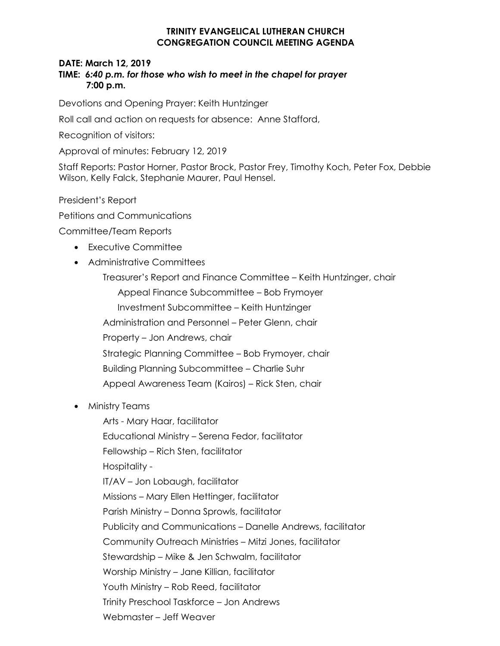## **TRINITY EVANGELICAL LUTHERAN CHURCH CONGREGATION COUNCIL MEETING AGENDA**

## **DATE: March 12, 2019**

## **TIME:** *6:40 p.m. for those who wish to meet in the chapel for prayer* **7:00 p.m.**

Devotions and Opening Prayer: Keith Huntzinger

Roll call and action on requests for absence: Anne Stafford,

Recognition of visitors:

Approval of minutes: February 12, 2019

Staff Reports: Pastor Horner, Pastor Brock, Pastor Frey, Timothy Koch, Peter Fox, Debbie Wilson, Kelly Falck, Stephanie Maurer, Paul Hensel.

President's Report

Petitions and Communications

Committee/Team Reports

- Executive Committee
- Administrative Committees

Treasurer's Report and Finance Committee – Keith Huntzinger, chair Appeal Finance Subcommittee – Bob Frymoyer Investment Subcommittee – Keith Huntzinger Administration and Personnel – Peter Glenn, chair Property – Jon Andrews, chair Strategic Planning Committee – Bob Frymoyer, chair Building Planning Subcommittee – Charlie Suhr Appeal Awareness Team (Kairos) – Rick Sten, chair

• Ministry Teams

Arts - Mary Haar, facilitator Educational Ministry – Serena Fedor, facilitator Fellowship – Rich Sten, facilitator Hospitality - IT/AV – Jon Lobaugh, facilitator Missions – Mary Ellen Hettinger, facilitator Parish Ministry – Donna Sprowls, facilitator Publicity and Communications – Danelle Andrews, facilitator Community Outreach Ministries – Mitzi Jones, facilitator Stewardship – Mike & Jen Schwalm, facilitator Worship Ministry – Jane Killian, facilitator Youth Ministry – Rob Reed, facilitator Trinity Preschool Taskforce – Jon Andrews Webmaster – Jeff Weaver